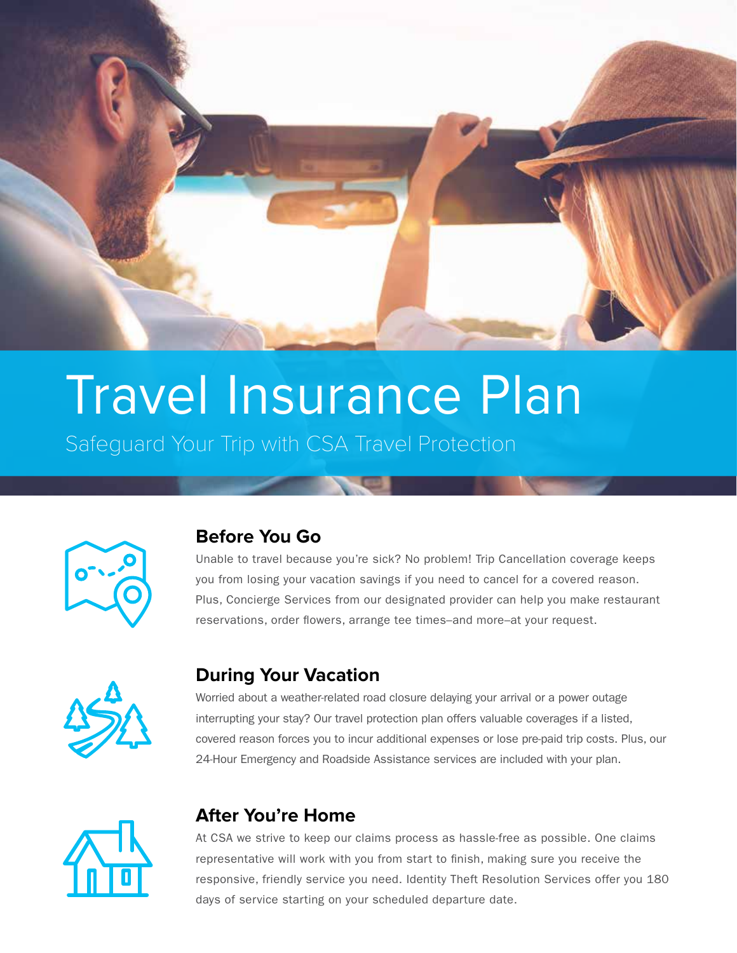

# Travel Insurance Plan

Safeguard Your Trip with CSA Travel Protection



## **Before You Go**

Unable to travel because you're sick? No problem! Trip Cancellation coverage keeps you from losing your vacation savings if you need to cancel for a covered reason. Plus, Concierge Services from our designated provider can help you make restaurant reservations, order flowers, arrange tee times–and more–at your request.



## **During Your Vacation**

Worried about a weather-related road closure delaying your arrival or a power outage interrupting your stay? Our travel protection plan offers valuable coverages if a listed, covered reason forces you to incur additional expenses or lose pre-paid trip costs. Plus, our 24-Hour Emergency and Roadside Assistance services are included with your plan.



# **After You're Home**

At CSA we strive to keep our claims process as hassle-free as possible. One claims representative will work with you from start to finish, making sure you receive the responsive, friendly service you need. Identity Theft Resolution Services offer you 180 days of service starting on your scheduled departure date.